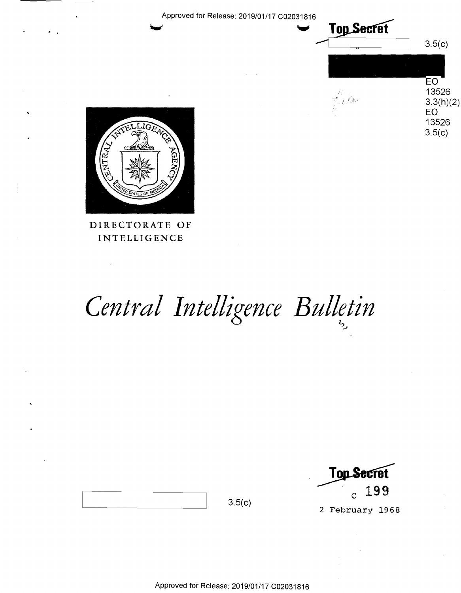Approved for Release: 2019/01/17 C02031816





### DIRECTORATE OF **INTELLIGENCE**

 $\bar{z}$ 

# Central Intelligence Bulletin

**Top Secret** 199  $\overline{c}$ 

2 February 1968

 $3.5(c)$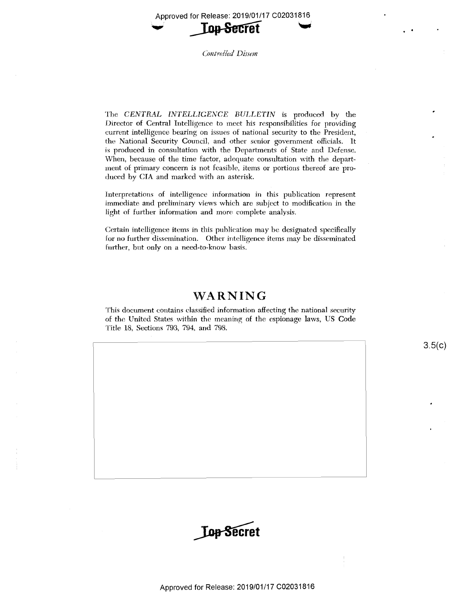Approved for Release: 2019/01/17 C02031816 \_ Approved for Release: 2019/01/17 <sup>002031816</sup>



Controlled Dissem

 ${\rm The\;\; CENTRAL\;\; INTELLIGENCE\;\; BULLLETIN\;\; is \;\; produced \;\; by \;\; the \;\; \; the \;\; \; the \;\; \; the \;\; \; the \;\; \; the \;\; \; the \;\; \; the \;\; \; the \;\; \; the \;\; \; the \;\; \; the \;\; \; the \;\; \; the \;\; \; the \;\; \; the \;\; \; the \;\; \; the \;\; \; the \;\; \; the \;\; \; the \;\; \; the \;\; \; the \;\; \; the \;\; \; the \;\; \; the \;\; \; the \;\; \; the \;\; \; the \;\; \; the \;\; \; the$ 1Jirector of Central Intelligerice to meet his responsibilities for providing Director of Central Intelligence to meet his responsibilities for providing current intelligence bearing on issues of national security to the President, the National Security Council, and other senior government officials. It is produced in consultation with the Departments of State and Defense. is Produced in consultation with the Departments of State and Defense. When, because of the time factor, adequate consultation with the department of primary concern is not feasible, items or portions thereof are produced by CIA and marked with an asterisk. deced by (31A and marked with an asterisk.

Interpretations of intelligence information in this publication represent Interpretations cf intelligence information in this publication represent immediate and preliminary views which are subject to modification in the immediate and preliminary viewers which are subject to modification in the light of further information and more complete analysis.

Certain intelligence items in this publication may be designated specifically for no further dissemination. Other intelligence items may be disseminated for no further dissemination. Other intelligence items may be disseminated further, but only on a need-to-know basis.

# **WARNING**  'WARNING

This document contains classified information affecting the national security of the United States within the meaning of the espionage laws, US Code Title 18, Sections 793, 794, and 798. Title 18, Sections 793., 794,, and 798.

 $3.5(c)$ 

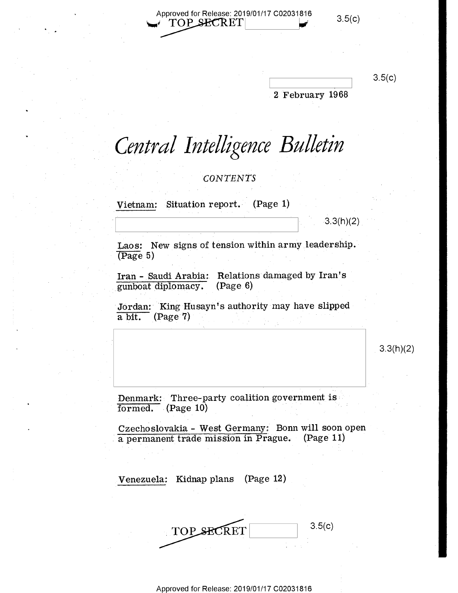Approved for Release: 2019/01/17 C02031816 3.5(c)  $TOP$  SECRET  $3.5(c)$ 

 $3.5(c)$ 

2 February 1968

Central Intelligence Bulletin

 $CONTENTS$ 

Vietnam: Situation report. (Page 1)

I

f

 $3.3(h)(2)$ 

Laos: New signs of tension within army leadership.  $(T \cdot 5)$ 

Iran - Saudi Arabia: Relations damaged by Iran's  $\frac{1}{\text{gunboat diplomacy.}}$  (Page.6).

Jordan: King Husayn's authority-may have slipped a bit. (Page 7) a bit. (Page 7)

 $3.3(h)(2)$ 

Denmark: Three-party coalition government is  $\frac{1}{\text{formed}}$  (Page 10)

Czechoslovakia - West Germany: Bonn will soon open Czecheslevakia - West Germany: Bonn will soonepen ' a permanent trade mission in Prague. (Page 11)

 $V$ enezuela: Kidnap plans (Page 12) .  $V$ 

3.5(c) 3.5(0) TOP SECRET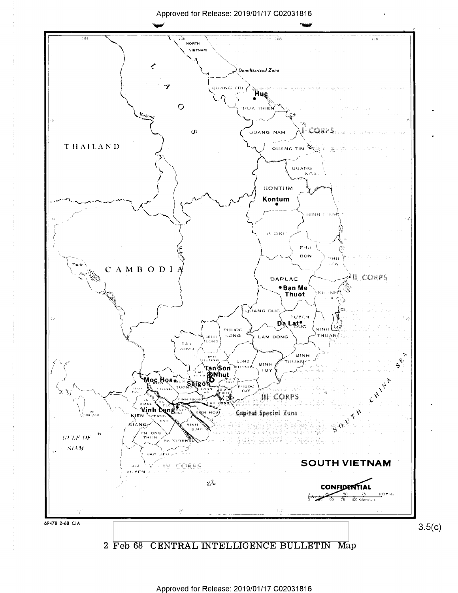#### Approved for Release: 2019/01/17 C02031816

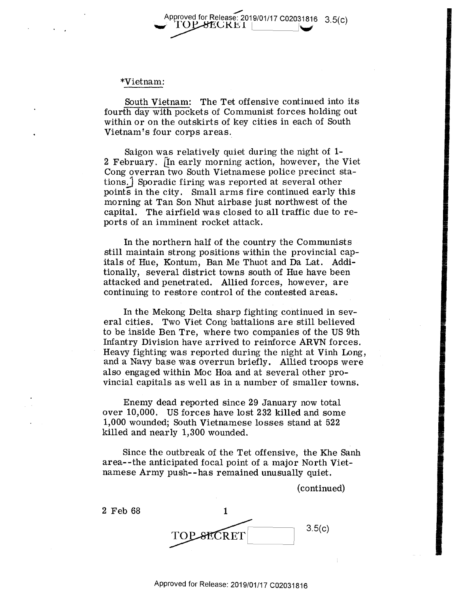#### ~ Approved for Release: 2019/01/17 C02031816 3.5(c)<br> **TOP SECRE I** Approved for Release: 2019/01/17 C02031816 3.5(c)

#### \*Vietnam: \*Vietnam:

South Vietnam: The Tet offensive continued into its South Vietnam: The Tet offensive continued into its fourth day with pockets of Communist forces holding out fourth day with pockets of Communist forces holding out within or on the outskirts of key cities in each of South Vietnam's four corps areas. Vietnam's four corps areas.

Saigon was relatively quiet during the night of **1-** Saigon was relatively quiet during the night of 1— 2 February. [!n early morning action, however, the Viet 2 February. [In early morning action, however, the Viet Cong overran two South Vietnamese police precinct sta-Cong overran two South Vietnamese police precinct stations.] Sporadic firing was reported at several other  $points$  in the city. Small arms fire continued early this morning at Tan Son Nhut airbase just northwest of the morning at Tan Son Nhut airbase just northwest of the capital. The airfield was closed to all traffic due to re-capital. The airfield was closed to all traffic due to reports of an imminent rocket attack. ports of an imminent rocket attack.

In the northern half of the country the Communists In the northern half of the country the Communists still maintain strong positions within the provincial capitals of Hue, Kontum, Ban Me Thuot and Da Lat. Additionally, several district towns south of Hue have been tionally, several district towns south of Hue have been attacked and penetrated. Allied forces, however, are attacked and penetrated. Allied forces, however, are continuing to restore control of the contested areas. continuing to restore control of the contested areas.

In the Mekong Delta sharp fighting continued in sev-In the Mekong Delta sharp fighting continued in sev eral cities. Two Viet Cong battalions are still believed eral cities. Two Viet Cong'battalions are still believed to be inside Ben Tre, where two companies of the US 9th to be inside Ben Tre, where two companies of the US 9th Infantry Division have arrived to reinforce **ARVN** forces. Infantry Division have arrived to reinforce ARVN forces. Heavy fighting was reported during the night at Vinh Long, Heavy fighting was reported during the night at Vinh Long, and a Navy base was overrun briefly. Allied troops were and-a Navy base Was overrun briefly. Allied troops were also engaged within Moc Hoa and at several other pro-also engaged within Moc Hoa and at several other provincial capitals as well as in a number of smaller towns. vincial capitals as well as in <sup>a</sup> number of smaller towns.

Enemy dead reported since 29 January now total Enemy dead reported since 29 January now total over 10,000. US forces have lost 232 killed and some 1,000 wounded; South Vietnamese losses stand at 522 1,000 wounded; South Vietnamese losses stand at 522 killed and nearly l,300 wounded. killed and nearly 1,300 wounded.

Since the outbreak of the Tet offensive, the Khe Sanh Since the outbreak of the Tet offensive, the Khe Sanh area--the anticipated focal point of a major North Viet-area-—the anticipated focal point of <sup>a</sup> major North Vietnamese Army push--has remained unusually quiet.

(continued) (continued)

2 Feb 68 1 3.5(c) 3.5 **SECRET**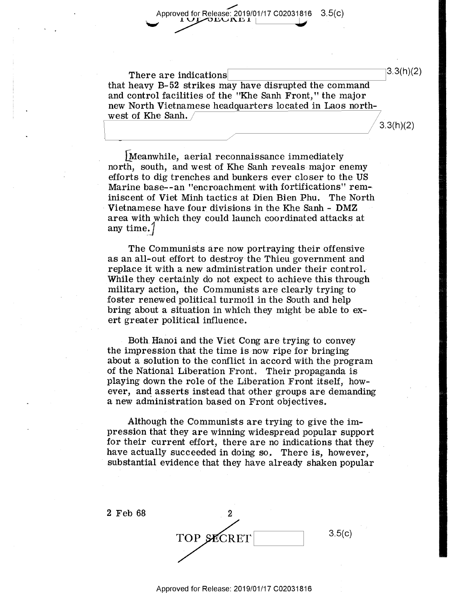$\overline{\phantom{a}}$ Approved for Release: 2019/01/17 C02031816 3.5(c) Approved for Release: 2019/01/17 C02031816 3.5(c) OLUNE I **View Service** 

There are indications  $\boxed{\qquad \qquad}$  3.3(h)(2) that heavy B-52 strikes may have disrupted the command and control facilities of the "Khe Sanh Front," the major and control facilities of the "Khe Sanh Front," the major new North Vietnamese headquarters located in Laos north-new North Vietnamese headquarters located in Laos northwest of Khe Sanh.  $/$ west of Khe Sanh.  $\Bigg/$  3.3(h)(2)

 $\frac{3.3(h)(2)}{2}$ 

[Meanwhile, aerial reconnaissance immediately [Meanwhila aerial reconnaissance immediately north, south, and west of Khe Sanh reveals major enemy  $\blacksquare$ efforts to dig trenches and bunkers ever closer to the US efforts to dig trenches and bunkers ever closer to the US Marine base--an "encroachment with fortifications" rem-- Marine base——an "encroachment with fortifications" rem- -' iniscent of Viet Minh tactics at Dien Bien Phu. The North iniscent of Viet Minh tactics at Dien Bien Phu. The North Vietnamese have four divisions in the Khe Sanh - **DMZ**  Vietnamese have four divisions in the Khe Sanh — DMZ area with which they could launch coordinated attacks at area 'with which they could launch coordinated attacks at any time.  $\int$ 

The Communists are now portraying their offensive The Communists are now portraying their offensive as an all-out effort to destroy the Thieu government and as anall—out effort to destroy-the Thieu government and replace it with a new administration under their control. While they certainly do not expect to achieve this through military action, the Communists are clearly trying to military action, the Communists are clearly trying to foster renewed political turmoil in the South and help foster renewed political turmoil in the South and help bring about a situation in which they might be able to exert greater political influence. ert greater political influence. ' -

Both Hanoi and the Viet Cong are trying to convey . Both. Hanoi and the Viet Cong are trying to convey the impression that the time is now ripe for bringing about a solution to the conflict in accord with the program about <sup>a</sup> solution to the conflict in accord with the program of the National Liberation Front. Their propaganda is playing down the role of the Liberation Front itself, how-playing down the role of the Liberation Front itself, how ever, and asserts instead that other groups are demanding ever, and asserts instead that other groups are demanding a new administration based on Front objectives. <sup>a</sup> new administration based on Front objectives. '

Although the Communists are trying to give the im-Although the Communists are trying to give the impression that they are winning widespread popular support pression that they are winning Widespread popular support for their current effort, there are no indications that they for their current effort, there are no indications that they have actually succeeded in doing so. There is, however, substantial evidence that they have already shaken popular

2 Feb 68 2 3.5(c) TOP SECRET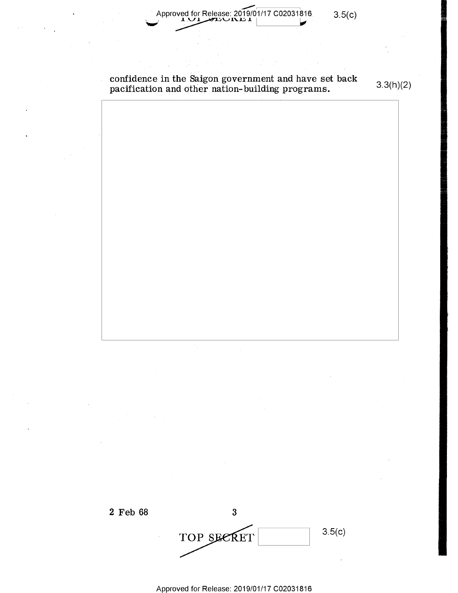$\frac{1}{2}$ Approved for Release: 2019/01/17 C02031816 Approved for Release: 2019/01/17 C02031816 3.5(c)

3.5(c)

confidence in the Saigon government and have set back pacification and other nation- building programs. confidence in the Saigon government and have set back  $\overline{\phantom{x}}$  . pacification and other nation–building-programs.  $3.3(h)(2)$ 

3.3(h)(2)

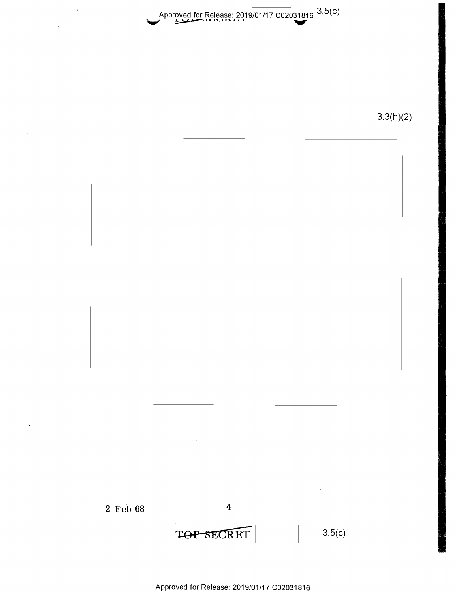Approved for Release: 2019/01/17 C02031816 <sup>3.5</sup>(C) Approved for Release: 2019/01/17 C02031816 3.5(C)

 $3.3(h)(2)$ 



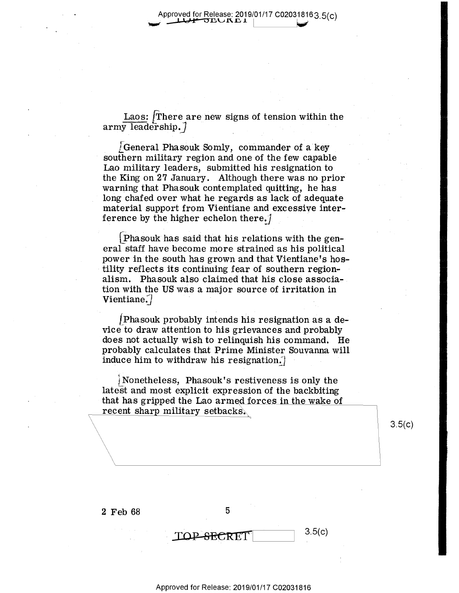$\tt{Laos: }$   $\int$ There are new signs of tension within the  $\quad \ \ \, {\rm array\,\, leadership.} \int$ 

L General Phasouk Somly, commander of a key southern military region and one of the few capable Lao military leaders, submitted his resignation to Lao military leaders, submitted his resignation to \_ the King on 27 January. Although there was no prior warning that Phasouk contemplated quitting, he has warning that Phasouk contemplated quitting, he has long chafed over what he regards as lack of adequate long chafed over What he regards as lack of adequate material support from Vieht:iane and excessive inter-material support from Vientiane and excesSiye interference by the higher echelon there. $\int$ 

[\_phasouk has said that hi.s relations with the gen-LPhasouk' has said'that his relations with the general staff have become more strained as his political eral staff have become more strained as his political power in the south has grown and that Vientiane's hos-power in. the south has grown and that Vientiane's hos tility reflects its continuing fear of southern region- tility reflects its continuing fear of southern regionalism. Phasouk also claimed that his close associa-alism. Phasouk also claimed that his close associa- . tion with the US was a major source of irritation in tion with the US was <sup>a</sup> major source of irritation in  $\textbf{V}$ ientiane $\int$ 

 $\emph{[Phasouk probably intends his resignation as a de-}$ vice to draw attention to his grievances and probably vie <sup>e</sup> to draw attention tohis grievances and probably does not actually wish to relinquish his command. He does not actually wish to relinquish hiscommand. He probably calculates that Prime Minister Souvanna will probably calculates that Prime Minister Souyanna will induce him to withdraw his resignation. $\int$ 

Nonetheless, Phasouk's restiveness is only the latest and most explicit expression of the backbiting that has gripped the Lao armed forces in the wake of  $\frac{recent\ sharp\ military\ sebacks.}$ 

 $3.5(c)$ 

 $2 \text{ Feb } 68$  5

'-

 $\text{TOP-SECRET}$   $3.5(c)$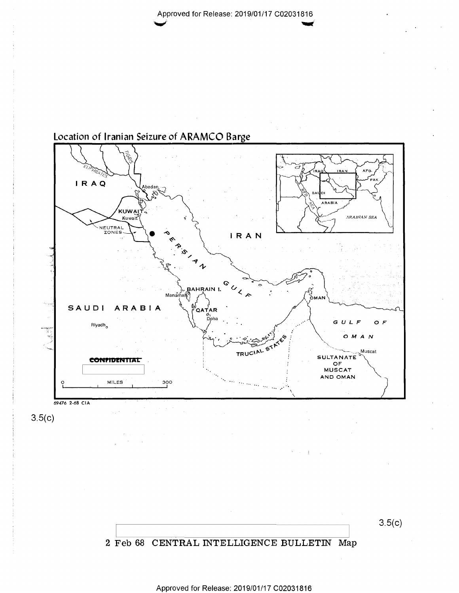

## Location of Iranian Seizure of ARAMCO Barge

 $3.5(c)$ 

 $3.5(c)$ 

#### 2 Feb 68 CENTRAL INTELLIGENCE BULLETIN Map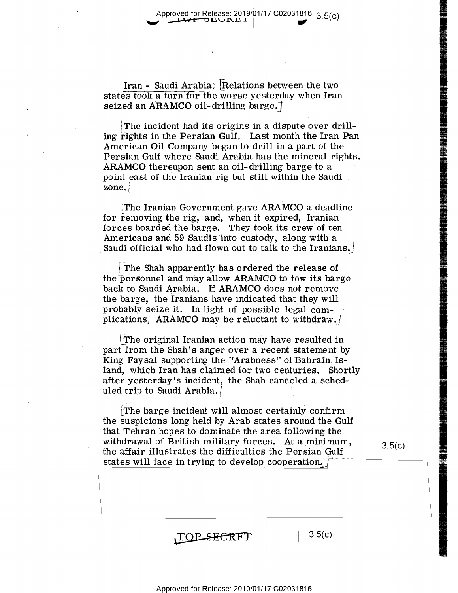Iran - Saudi Arabia: Relations between the two states took a turn for the worse yesterday when Iran  ${\tt seized}$  an  ${\tt ARAMCO}$  oil-drilling  ${\tt barge.}$ 

W

The incident had its origins in a dispute over drilling rights in the Persian Gulf. Last month the Iran Pan American Oil Company began to drill in a part of the American. Oil Company began to drill in <sup>a</sup> part of the Persian Gulf where Saudi Arabia has the mineral rights. Persian Gulf where Saudi Arabia has the mineral rights. ARAMCO thereupon sent an oil-drilling barge to a point east of the Iranian rig but still within the Saudi **provint and**  $\mathbf{zone.}$ 

 $^{\prime}$ The Iranian Government gave  ${\bf ARAMCO}$  a deadline for removing the rig, and, when it expired, Iranian for removing the rig, and, when it expired, Iranian forces boarded the barge. They took its crew of ten Americans and 59 Saudis into custody, along with a Americans and 59 Saudis into custody, along with <sup>a</sup> . Saudi official who had flown out to talk to the Iranians.

The Shah apparently has ordered the release of the<sup>t</sup>personnel and may allow ARAMCO to tow its barge back to Saudi Arabia. If ARAMCO does not remove back to Saudi Arabia. If ARAMCO does not remove ' the barge, the Iranians have indicated that they will the barge, the Iranians have indicated that they will probably seize it. In light of possible legal com-probably seize it. In light of possible legal complications, ARAMCO may be reluctant to withdraw.]

 $\lfloor$ The original Iranian action may have resulted in part from the Shah's anger over a recent statement by King Faysal supporting the "Arabness" of Bahrain. Is-King Faysal supporting the "Arabness" of Bahrain. Island, which Iran has claimed for two centuries. Shortly land, which Iran has claimed for two centuries. Shortly after yesterday's incident, the Shah canceled a sched-after yesterday's incident, the Shah canceled <sup>a</sup> sched uled trip to Saudi Arabia. $/$ 

 ${\bf (The \ barge \ incident \ will \ almost \ certainly \ confirm}$ the suspicions long held by Arab states around the Gulf the suspicions long held by Arab states around the Gulf that Tehran hopes to dominate the area following the that Tehran hopes to dominate the area following the withdrawal of British military forces. At a minimum, withdrawal of British military forces. At <sup>a</sup> minimum, withdrawal of British military forces. At a minimum, 3.5(c)<br>the affair illustrates the difficulties the Persian Gulf states will face in trying to develop cooperation.  $\sqrt{1 - \frac{1}{\sqrt{1 - \frac{1}{\sqrt{1 - \frac{1}{\sqrt{1 - \frac{1}{\sqrt{1 - \frac{1}{\sqrt{1 - \frac{1}{\sqrt{1 - \frac{1}{\sqrt{1 - \frac{1}{\sqrt{1 - \frac{1}{\sqrt{1 - \frac{1}{\sqrt{1 - \frac{1}{\sqrt{1 - \frac{1}{\sqrt{1 - \frac{1}{\sqrt{1 - \frac{1}{\sqrt{1 - \frac{1}{\sqrt{1 - \frac{1}{\sqrt{1 - \frac{1$ 

 n..."---- .............

.........

. ..m.-.-.-.-.r.

| TOP SECRET |  |
|------------|--|
|------------|--|

 $3.5(c)$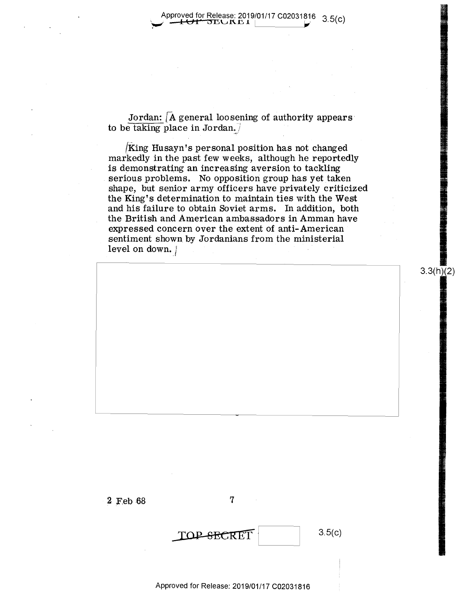Jordan:  $\bm\lambda$  general loosening of authority appears to be taking place in Jordan. $\sqrt{ }$ 

 $[{\bf King}$  Husayn's personal position has not changed markedly in the past few weeks, although he reportedly is demonstrating an increasing aversion to tackling is demonstrating an increasing aversion to tackling serious problems. No opposition group has yet taken shape, but senior army officers have privately criticized shape, but senior army officers have privately Criticized the King's determination to maintain ties with the West and his failure to obtain Soviet arms. In addition, both and his failure to obtain Soviet arms. In addition, both the British and American ambassadors in Amman have the British and American ambassadors in Amman have expressed concern over the extent of anti-American expressed concern over the extent of anti— American ' sentiment shown by Jordanians from the ministerial  $level on down.$ ;  $\vert$ 

2 F.eb 68 **'7**  2 Feb 6.8 7

 $TOP \xrightarrow{SECRET}$  3.5(c)

3.5(c)

3.3(h)(2)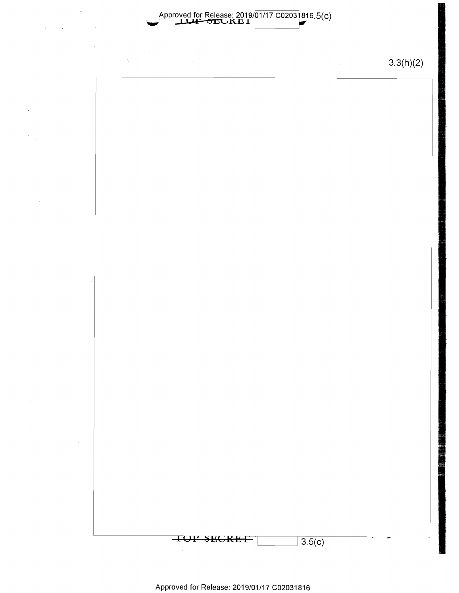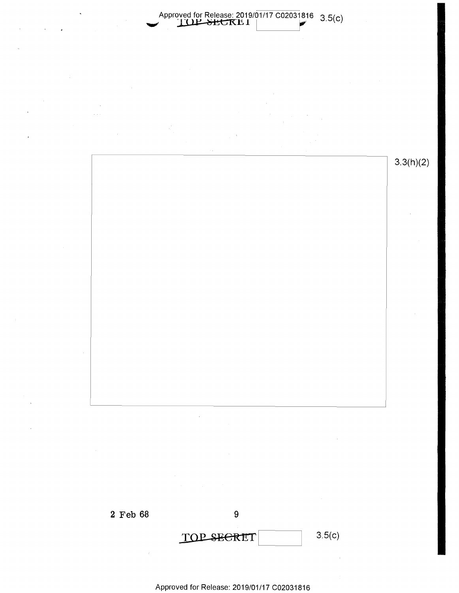

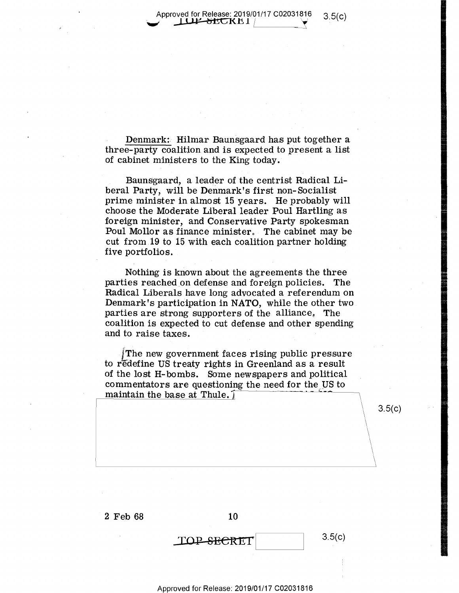Approved for Release: 2019/01/17 C02031816 3.5(c)<br>
Approved for Release: 2019/01/17 C02031816 3.5(c) d for Release: 2019/01/17 C02031816 = 3.5(c)<br>UP-SECRE I |

Denmark: Hilmar Baunsgaard has put together a  $three$ -party coalition and is expected to present a list of cabinet ministers to the King today.

Baunsgaard, a leader of the centrist Radical Liberal Party, will be Denmark's first non-Socialist beral Party, will be Denmark's first non- Socialist prime minister in almost 15 years. He probably will choose the Moderate Liberal leader Poul Hartling as choose the Moderate Liberal leader Poul Hartling as <sup>m</sup> foreign minister, and Conservative Party spokesman Poul Mollor as finance minister. The cabinet may be  $\mathrm{cut}\,$  from  $19$  to  $15$  with each coalition partner holding  $five\ portfolios.$ 

Nothing is known about the agreements the three  ${\tt particles~ reached~on~defense~and~foreign~policles.~The}$  $\textbf{Radical\ Liberals\ have\ long\ advocated\ a\ referendum\ on}$ Denmark's participation in **NATO,** while the other two Denmark's participationin NATO, while the other "two. parties are strong supporters of the alliance. The coalition is expected to cut defense and other spending coalition is expected to cut defense and other spending . and to raise taxes.

The new government faces rising public pressure  $\blacksquare$ to redefine US treaty rights in Greenland as a result of the lost H-bombs. Some newspapers and political  $\blacksquare$ commentators are questioning the need for the US to  $\blacksquare$  **the base at Thule.** 

 $3.5(c)$ 

2 Feb 68 10

TOP SECRET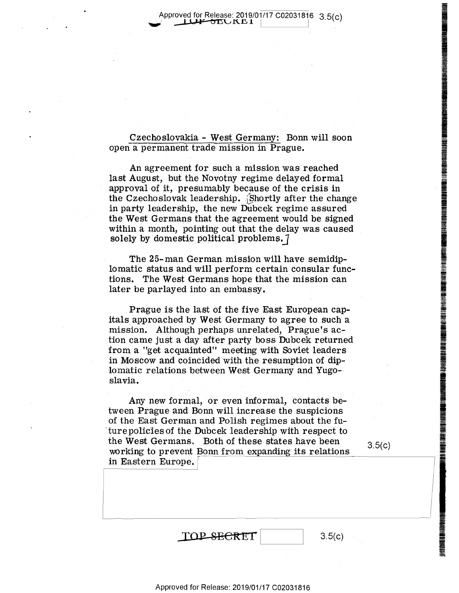Approved for Release: 2019/01/17 C02031816 3.5(c)

Czechoslovakia - West Germany: Bonn will soon Czechoslovakia .- West Germany; Bonn will soon open a permanent trade mission in Prague. open <sup>a</sup> permanent trade mission in Prague.

An agreement for such a mission was reached last August, but the Novotny regime delayed formal last August, but the Novotny regime delayed formal approval of it, presumably because of the crisis in the Czechoslovak leadership. Shortly after the change in party leadership, the new Dubcek regime assured in party leadership, the new Dubcek regime assured the West Germans that the agreement would be signed the West Germans that the agreement would be signed within a month, pointing out that the delay was caused within <sup>a</sup> month, pointing out that the delay was caused .  $\mathbf{s}$ olely. by domestic. political problems.  $\int$ 

The 25-man German mission will have semidip-The 25- man German-mission willhave semidip-v lomatic status and will perform certain consular func-lomatic status and will perform certain consular func tions. The West Germans hope that the mission can tions. The West Germans hope that the mission can later be parlayed into an embassy.

Prague is the last of the five East European cap-Prague is the last 0f the five East European cap itals approached by West Germany to agree to such a italsapproached by West Germany to agree to such <sup>a</sup> mission. Although perhaps unrelated, Prague's action came just a day after party boss Dubcek returned tion came just<sup>a</sup> day after party boss Dubcek returned from a "get acquainted" meeting with Soviet leaders from <sup>a</sup> "get acquainted" meeting with Soviet leaders in Moscow and coincided with the resumption of dip- $\qquad \qquad \qquad \qquad$ lomatic relations between West Germany and Yugo-lomatic relations between. West Germany and Yugo- slavia. slavia.

Any new formal, or even informal, contacts be-Any new formal, or eyen informal, contacts be- I tween Prague and Bonn will increase the suspicions tween Prague and Bonn will increase the suspicions of the East German and Polish regimes about the future policies of the Dubcek leadership with respect to the West Germans. Both of these states have been  $\frac{1}{3}$ working to prevent Bonn from expanding its relations .working to prevent <u>Boin</u><br>in Eastern Europe. the west definants. Both of these states have been  $3.5(c)$ <br>working to prevent Bonn from expanding its relations

 $3.5(c)$ 

**INEGRAL IN A** 

**IN MARKET** 

**International Property Assessment** 

e la provincia della contrata dell'India.<br>Il grande della contrata della contrata della contrata della contrata della contrata dell'India dell'India del

**In the American State of American American State of American American State of American State of American State** 

**IN THE REAL PROPERTY AND REAL PROPERTY.** 

**IIIIKAKINA**<br>III

II (AN) I INDICANAL AN I II<br>I I George Card I II An I George Card I II An I George Card I II An I George Card I II An I George Card I II A

i

**INTERNATIONAL PROPERTY AND ALSO**<br>International Property and Property and Property and Property and Property and Property and Property and Property

**IN ABOUT LE** 

**INTERNATIONAL** 

**NHIIAN** 

 $TOP \xrightarrow{SECRET}$  3.5(c)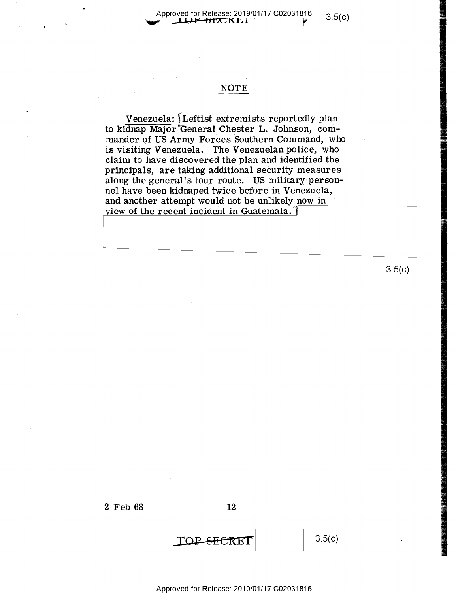# Approved for Release: 2019/01/17 C02031816 3.5(c)

#### **NOTE**

 $\verb|Venezuela|:$  Leftist extremists reportedly plan to kidnap Major General Chester L. Johnson, commander of US Army Forces Southern Command, who is visiting Venezuela. The Venezuelan police, who  ${\tt claim}$  to have discovered the plan and identified the principals, are taking additional security measures principals, are taking additional seCurity measures along the general's tour route. US military person-along the general's tour route, US military person nel have been kidnaped twice before in Venezuela, nel have been kidnaped twice before in Venezuela, and another attempt would not be unlikely now in view of the recent incident in Guatemala.<sup>-</sup>

3.5(c)

e.



2 Feb 68 12